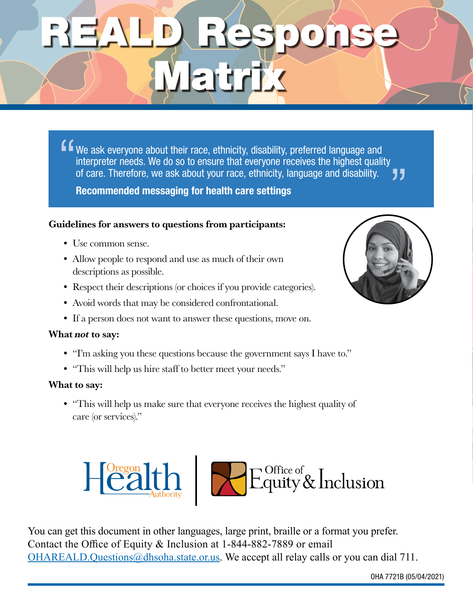# REALD Response Matrix

We ask everyone about their race, ethnicity, disability, preferred language and interpreter needs. We do so to ensure that everyone receives the highest quality of care. Therefore, we ask about your race, ethnicity, language and disability. " "

Recommended messaging for health care settings

#### Guidelines for answers to questions from participants:

- Use common sense.
- Allow people to respond and use as much of their own descriptions as possible.
- Respect their descriptions (or choices if you provide categories).
- Avoid words that may be considered confrontational.
- If a person does not want to answer these questions, move on.

#### What not to say:

- "I'm asking you these questions because the government says I have to."
- "This will help us hire staff to better meet your needs."

#### What to say:

• "This will help us make sure that everyone receives the highest quality of care (or services)."



You can get this document in other languages, large print, braille or a format you prefer. Contact the Office of Equity & Inclusion at 1-844-882-7889 or email [OHAREALD.Questions@dhsoha.state.or.us.](mailto:OHAREALD.Questions@dhsoha.state.or.us) We accept all relay calls or you can dial 711.

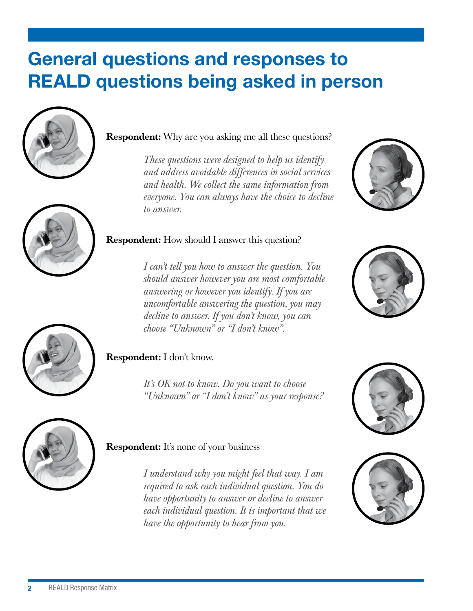## General questions and responses to REALD questions being asked in person





#### Respondent: Why are you asking me all these questions?

*These questions were designed to help us identify and address avoidable differences in social services and health. We collect the same information from everyone. You can always have the choice to decline to answer.*



#### Respondent: How should I answer this question?

*I can't tell you how to answer the question. You should answer however you are most comfortable answering or however you identify. If you are uncomfortable answering the question, you may decline to answer. If you don't know, you can choose "Unknown" or "I don't know".*





#### Respondent: I don't know.

*It's OK not to know. Do you want to choose "Unknown" or "I don't know" as your response?*





#### **Respondent:** It's none of your business

*I understand why you might feel that way. I am required to ask each individual question. You do have opportunity to answer or decline to answer each individual question. It is important that we have the opportunity to hear from you.*

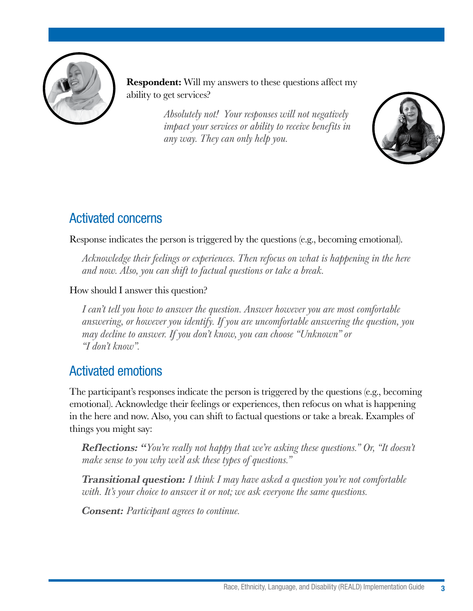

Respondent: Will my answers to these questions affect my ability to get services?

> *Absolutely not! Your responses will not negatively impact your services or ability to receive benefits in any way. They can only help you.*



## Activated concerns

Response indicates the person is triggered by the questions (e.g., becoming emotional).

*Acknowledge their feelings or experiences. Then refocus on what is happening in the here and now. Also, you can shift to factual questions or take a break.* 

How should I answer this question?

*I can't tell you how to answer the question. Answer however you are most comfortable answering, or however you identify. If you are uncomfortable answering the question, you may decline to answer. If you don't know, you can choose "Unknown" or "I don't know".*

## Activated emotions

The participant's responses indicate the person is triggered by the questions (e.g., becoming emotional). Acknowledge their feelings or experiences, then refocus on what is happening in the here and now. Also, you can shift to factual questions or take a break. Examples of things you might say:

Reflections: "*You're really not happy that we're asking these questions." Or, "It doesn't make sense to you why we'd ask these types of questions."*

Transitional question: *I think I may have asked a question you're not comfortable with. It's your choice to answer it or not; we ask everyone the same questions.* 

Consent: *Participant agrees to continue.*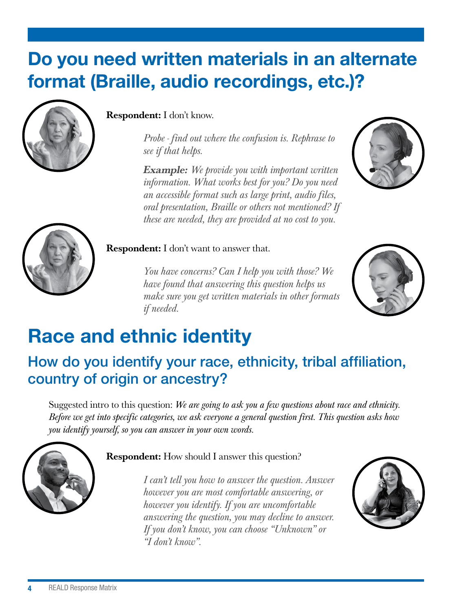## Do you need written materials in an alternate format (Braille, audio recordings, etc.)?



#### Respondent: I don't know.

*Probe - find out where the confusion is. Rephrase to see if that helps.*

Example: *We provide you with important written information. What works best for you? Do you need an accessible format such as large print, audio files, oral presentation, Braille or others not mentioned? If these are needed, they are provided at no cost to you.*





#### **Respondent:** I don't want to answer that.

*You have concerns? Can I help you with those? We have found that answering this question helps us make sure you get written materials in other formats if needed.*



## Race and ethnic identity

## How do you identify your race, ethnicity, tribal affiliation, country of origin or ancestry?

Suggested intro to this question: *We are going to ask you a few questions about race and ethnicity. Before we get into specific categories, we ask everyone a general question first. This question asks how you identify yourself, so you can answer in your own words.*



#### Respondent: How should I answer this question?

*I can't tell you how to answer the question. Answer however you are most comfortable answering, or however you identify. If you are uncomfortable answering the question, you may decline to answer. If you don't know, you can choose "Unknown" or "I don't know".*

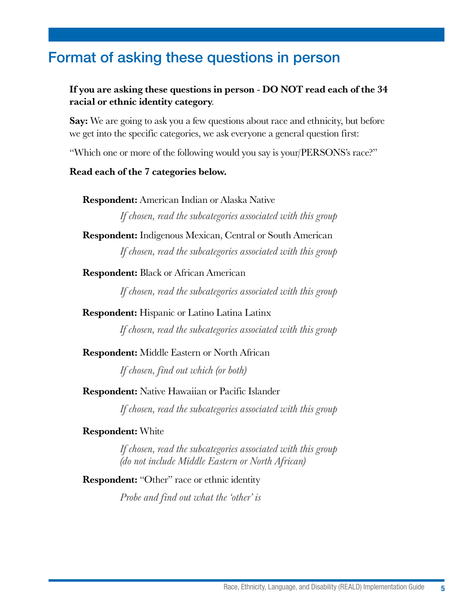## Format of asking these questions in person

#### If you are asking these questions in person - DO NOT read each of the 34 racial or ethnic identity category.

Say: We are going to ask you a few questions about race and ethnicity, but before we get into the specific categories, we ask everyone a general question first:

"Which one or more of the following would you say is your/PERSONS's race?"

#### Read each of the 7 categories below.

Respondent: American Indian or Alaska Native

*If chosen, read the subcategories associated with this group*

#### Respondent: Indigenous Mexican, Central or South American

*If chosen, read the subcategories associated with this group*

#### Respondent: Black or African American

*If chosen, read the subcategories associated with this group*

#### Respondent: Hispanic or Latino Latina Latinx

*If chosen, read the subcategories associated with this group*

#### Respondent: Middle Eastern or North African

*If chosen, find out which (or both)* 

#### Respondent: Native Hawaiian or Pacific Islander

*If chosen, read the subcategories associated with this group*

#### Respondent: White

*If chosen, read the subcategories associated with this group (do not include Middle Eastern or North African)*

#### Respondent: "Other" race or ethnic identity

*Probe and find out what the 'other' is*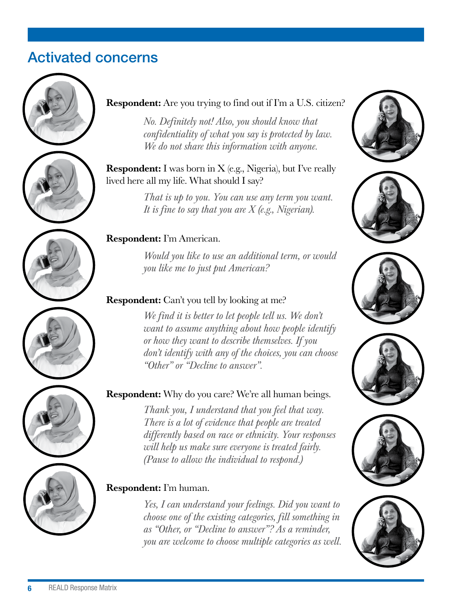## Activated concerns





*No. Definitely not! Also, you should know that confidentiality of what you say is protected by law. We do not share this information with anyone.*

Respondent: I was born in X (e.g., Nigeria), but I've really lived here all my life. What should I say?

> *That is up to you. You can use any term you want. It is fine to say that you are X (e.g., Nigerian).*

#### Respondent: I'm American.

*Would you like to use an additional term, or would you like me to just put American?*

#### Respondent: Can't you tell by looking at me?

*We find it is better to let people tell us. We don't want to assume anything about how people identify or how they want to describe themselves. If you don't identify with any of the choices, you can choose "Other" or "Decline to answer".*

### Respondent: Why do you care? We're all human beings.

*Thank you, I understand that you feel that way. There is a lot of evidence that people are treated differently based on race or ethnicity. Your responses will help us make sure everyone is treated fairly. (Pause to allow the individual to respond.)*

#### Respondent: I'm human.

*Yes, I can understand your feelings. Did you want to choose one of the existing categories, fill something in as "Other, or "Decline to answer"? As a reminder, you are welcome to choose multiple categories as well.*















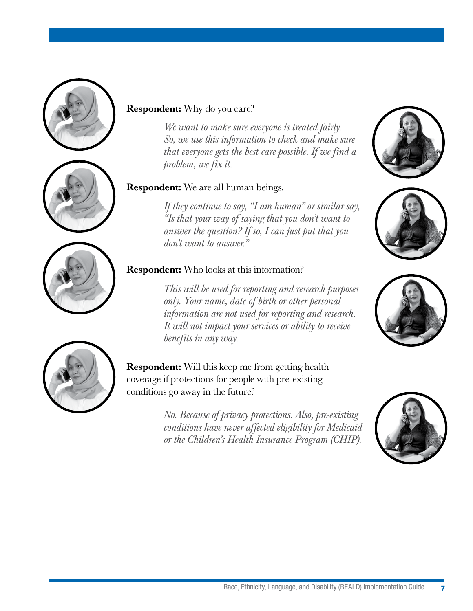





#### Respondent: Why do you care?

*We want to make sure everyone is treated fairly. So, we use this information to check and make sure that everyone gets the best care possible. If we find a problem, we fix it.*

#### Respondent: We are all human beings.

*If they continue to say, "I am human" or similar say, "Is that your way of saying that you don't want to answer the question? If so, I can just put that you don't want to answer."*

### Respondent: Who looks at this information?

*This will be used for reporting and research purposes only. Your name, date of birth or other personal information are not used for reporting and research. It will not impact your services or ability to receive benefits in any way.*

Respondent: Will this keep me from getting health coverage if protections for people with pre-existing conditions go away in the future?

> *No. Because of privacy protections. Also, pre-existing conditions have never affected eligibility for Medicaid or the Children's Health Insurance Program (CHIP).*







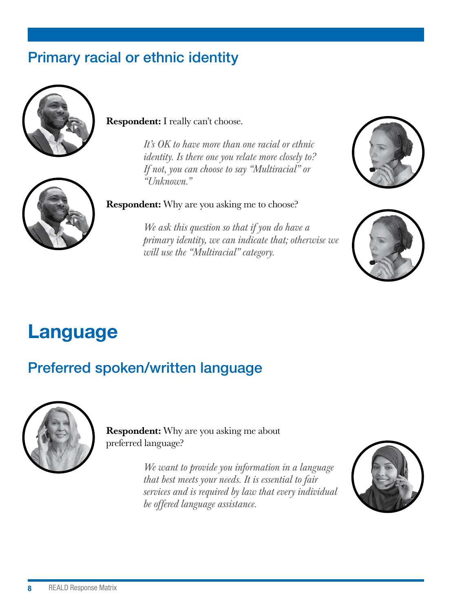## Primary racial or ethnic identity



#### Respondent: I really can't choose.

*It's OK to have more than one racial or ethnic identity. Is there one you relate more closely to? If not, you can choose to say "Multiracial" or "Unknown."*



*We ask this question so that if you do have a primary identity, we can indicate that; otherwise we will use the "Multiracial" category.* 





## Language

## Preferred spoken/written language



Respondent: Why are you asking me about preferred language?

> *We want to provide you information in a language that best meets your needs. It is essential to fair services and is required by law that every individual be offered language assistance.*

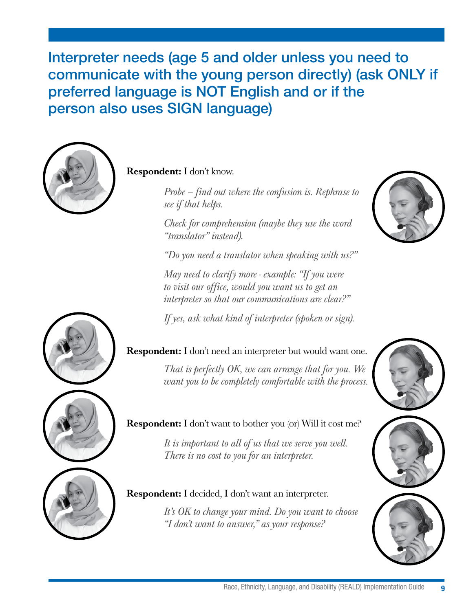Interpreter needs (age 5 and older unless you need to communicate with the young person directly) (ask ONLY if preferred language is NOT English and or if the person also uses SIGN language)



Respondent: I don't know.

*Probe – find out where the confusion is. Rephrase to see if that helps.*

*Check for comprehension (maybe they use the word "translator" instead).*

*"Do you need a translator when speaking with us?"*

*May need to clarify more - example: "If you were to visit our office, would you want us to get an interpreter so that our communications are clear?"*

*If yes, ask what kind of interpreter (spoken or sign).*





*That is perfectly OK, we can arrange that for you. We want you to be completely comfortable with the process.*



### Respondent: I don't want to bother you (or) Will it cost me?

*It is important to all of us that we serve you well. There is no cost to you for an interpreter.*

#### Respondent: I decided, I don't want an interpreter.

*It's OK to change your mind. Do you want to choose "I don't want to answer," as your response?*

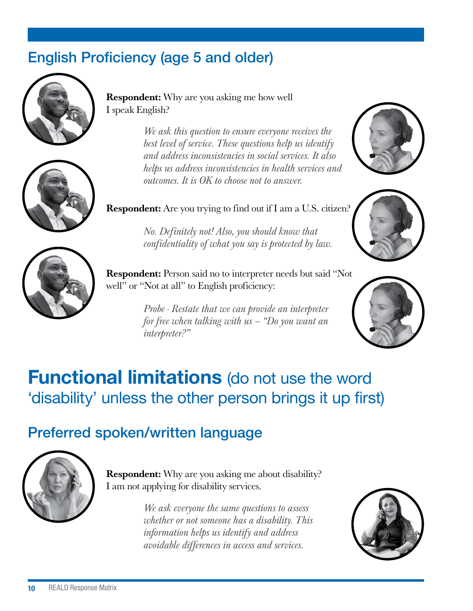## English Proficiency (age 5 and older)



**Respondent:** Why are you asking me how well I speak English?

> *We ask this question to ensure everyone receives the best level of service. These questions help us identify and address inconsistencies in social services. It also helps us address inconsistencies in health services and outcomes. It is OK to choose not to answer.*







Respondent: Person said no to interpreter needs but said "Not well" or "Not at all" to English proficiency:

*No. Definitely not! Also, you should know that confidentiality of what you say is protected by law.* 

*Probe - Restate that we can provide an interpreter for free when talking with us – "Do you want an interpreter?"*



## **Functional limitations** (do not use the word 'disability' unless the other person brings it up first)

## Preferred spoken/written language



**Respondent:** Why are you asking me about disability? I am not applying for disability services.

> *We ask everyone the same questions to assess whether or not someone has a disability. This information helps us identify and address avoidable differences in access and services.*



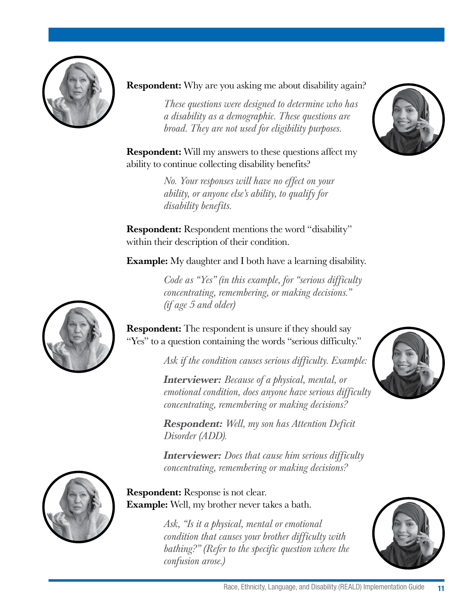

**Respondent:** Why are you asking me about disability again?

*These questions were designed to determine who has a disability as a demographic. These questions are broad. They are not used for eligibility purposes.*

**Respondent:** Will my answers to these questions affect my ability to continue collecting disability benefits?

> *No. Your responses will have no effect on your ability, or anyone else's ability, to qualify for disability benefits.*

Respondent: Respondent mentions the word "disability" within their description of their condition.

Example: My daughter and I both have a learning disability.

*Code as "Yes" (in this example, for "serious difficulty concentrating, remembering, or making decisions." (if age 5 and older)*





**Respondent:** The respondent is unsure if they should say "Yes" to a question containing the words "serious difficulty."

*Ask if the condition causes serious difficulty. Example:*

Interviewer: *Because of a physical, mental, or emotional condition, does anyone have serious difficulty concentrating, remembering or making decisions?*

Respondent: *Well, my son has Attention Deficit Disorder (ADD).* 

Interviewer: *Does that cause him serious difficulty concentrating, remembering or making decisions?*



#### Respondent: Response is not clear. **Example:** Well, my brother never takes a bath.

*Ask, "Is it a physical, mental or emotional condition that causes your brother difficulty with bathing?" (Refer to the specific question where the confusion arose.)*



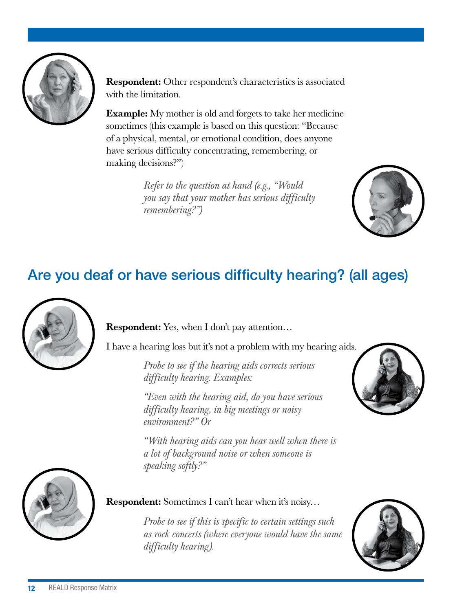

Respondent: Other respondent's characteristics is associated with the limitation.

**Example:** My mother is old and forgets to take her medicine sometimes (this example is based on this question: "Because of a physical, mental, or emotional condition, does anyone have serious difficulty concentrating, remembering, or making decisions?")

> *Refer to the question at hand (e.g., "Would you say that your mother has serious difficulty remembering?")*



## Are you deaf or have serious difficulty hearing? (all ages)



Respondent: Yes, when I don't pay attention…

I have a hearing loss but it's not a problem with my hearing aids.

*Probe to see if the hearing aids corrects serious difficulty hearing. Examples:*

*"Even with the hearing aid, do you have serious difficulty hearing, in big meetings or noisy environment?" Or*

*"With hearing aids can you hear well when there is a lot of background noise or when someone is speaking softly?"*





#### Respondent: Sometimes I can't hear when it's noisy…

*Probe to see if this is specific to certain settings such as rock concerts (where everyone would have the same difficulty hearing).*

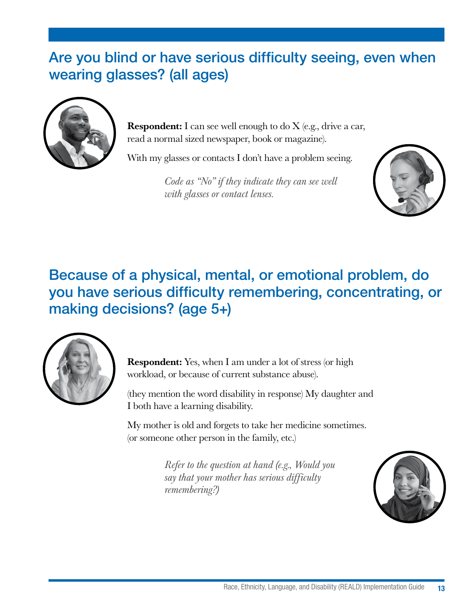## Are you blind or have serious difficulty seeing, even when wearing glasses? (all ages)



**Respondent:** I can see well enough to do  $X$  (e.g., drive a car, read a normal sized newspaper, book or magazine).

With my glasses or contacts I don't have a problem seeing.

*Code as "No" if they indicate they can see well with glasses or contact lenses.* 



## Because of a physical, mental, or emotional problem, do you have serious difficulty remembering, concentrating, or making decisions? (age 5+)



**Respondent:** Yes, when I am under a lot of stress (or high workload, or because of current substance abuse).

(they mention the word disability in response) My daughter and I both have a learning disability.

My mother is old and forgets to take her medicine sometimes. (or someone other person in the family, etc.)

> *Refer to the question at hand (e.g., Would you say that your mother has serious difficulty remembering?)*

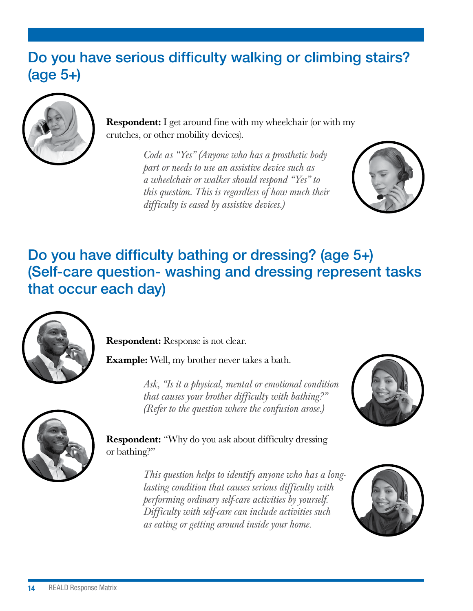## Do you have serious difficulty walking or climbing stairs? (age 5+)



Respondent: I get around fine with my wheelchair (or with my crutches, or other mobility devices).

> *Code as "Yes" (Anyone who has a prosthetic body part or needs to use an assistive device such as a wheelchair or walker should respond "Yes" to this question. This is regardless of how much their difficulty is eased by assistive devices.)*



## Do you have difficulty bathing or dressing? (age 5+) (Self-care question- washing and dressing represent tasks that occur each day)



Respondent: Response is not clear.

Example: Well, my brother never takes a bath.

*Ask, "Is it a physical, mental or emotional condition that causes your brother difficulty with bathing?" (Refer to the question where the confusion arose.)*





Respondent: "Why do you ask about difficulty dressing or bathing?"

> *This question helps to identify anyone who has a longlasting condition that causes serious difficulty with performing ordinary self-care activities by yourself. Difficulty with self-care can include activities such as eating or getting around inside your home.*

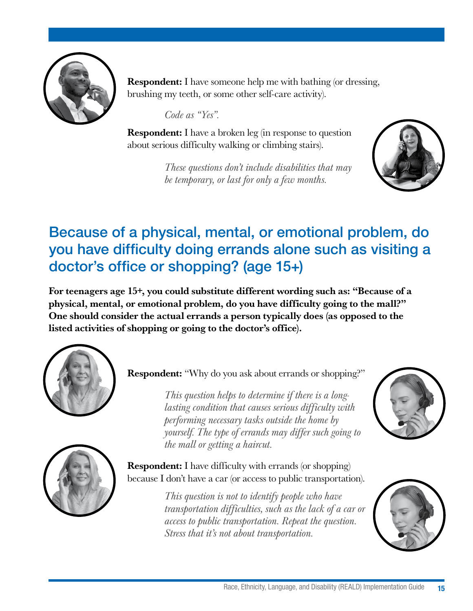

Respondent: I have someone help me with bathing (or dressing, brushing my teeth, or some other self-care activity).

*Code as "Yes".* 

**Respondent:** I have a broken leg (in response to question about serious difficulty walking or climbing stairs).

> *These questions don't include disabilities that may be temporary, or last for only a few months.*



## Because of a physical, mental, or emotional problem, do you have difficulty doing errands alone such as visiting a doctor's office or shopping? (age 15+)

For teenagers age 15+, you could substitute different wording such as: "Because of a physical, mental, or emotional problem, do you have difficulty going to the mall?" One should consider the actual errands a person typically does (as opposed to the listed activities of shopping or going to the doctor's office).



**Respondent:** "Why do you ask about errands or shopping?"

*This question helps to determine if there is a longlasting condition that causes serious difficulty with performing necessary tasks outside the home by yourself. The type of errands may differ such going to the mall or getting a haircut.*



Respondent: I have difficulty with errands (or shopping) because I don't have a car (or access to public transportation).

> *This question is not to identify people who have transportation difficulties, such as the lack of a car or access to public transportation. Repeat the question. Stress that it's not about transportation.*